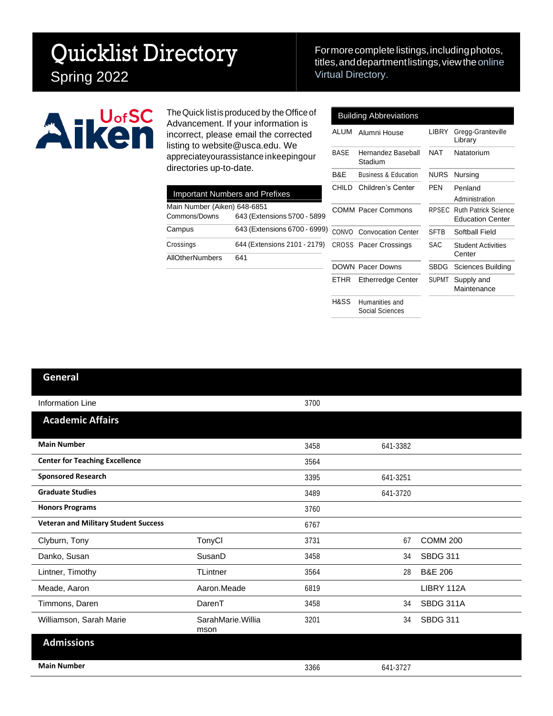## Quicklist Directory Spring 2022

Formore complete listings, including photos, titles, and department listings, view the online Virtual [Directory.](https://www.usca.edu/directories/)



The Quick list is produced by the Office of Advancement. If your information is incorrect, please email the corrected listing to [website@usca.edu. W](mailto:website@usca.edu)e appreciateyourassistance inkeepingour directories up-to-date.

Campus 643 (Extensions 6700 - 6999) Crossings 644 (Extensions 2101 - 2179)

643 (Extensions 5700 - 5899

Main Number (Aiken) 648-6851<br>Commons/Downs 643 (Exten

Important Numbers and Prefixes

AllOtherNumbers 641

|       | <b>Building Abbreviations</b>     |             |                                                        |
|-------|-----------------------------------|-------------|--------------------------------------------------------|
| ALUM  | Alumni House                      | LIBRY       | Gregg-Graniteville<br>Library                          |
| BASE  | Hernandez Baseball<br>Stadium     | <b>NAT</b>  | Natatorium                                             |
| B&F   | <b>Business &amp; Education</b>   | <b>NURS</b> | Nursing                                                |
| CHILD | Children's Center                 | PFN         | Penland<br>Administration                              |
|       | <b>COMM Pacer Commons</b>         | RPSEC       | <b>Ruth Patrick Science</b><br><b>Education Center</b> |
|       | CONVO Convocation Center          | <b>SFTB</b> | Softball Field                                         |
|       | <b>CROSS</b> Pacer Crossings      | SAC         | <b>Student Activities</b><br>Center                    |
|       | <b>DOWN Pacer Downs</b>           | <b>SBDG</b> | Sciences Building                                      |
| ETHR  | <b>Etherredge Center</b>          | SUPMT       | Supply and<br>Maintenance                              |
| H&SS  | Humanities and<br>Social Sciences |             |                                                        |

## **General**

| <b>Information Line</b>                     |                            | 3700 |          |                    |
|---------------------------------------------|----------------------------|------|----------|--------------------|
| <b>Academic Affairs</b>                     |                            |      |          |                    |
| <b>Main Number</b>                          |                            | 3458 | 641-3382 |                    |
| <b>Center for Teaching Excellence</b>       |                            | 3564 |          |                    |
| <b>Sponsored Research</b>                   |                            | 3395 | 641-3251 |                    |
| <b>Graduate Studies</b>                     |                            | 3489 | 641-3720 |                    |
| <b>Honors Programs</b>                      |                            | 3760 |          |                    |
| <b>Veteran and Military Student Success</b> |                            | 6767 |          |                    |
| Clyburn, Tony                               | TonyCl                     | 3731 | 67       | <b>COMM 200</b>    |
| Danko, Susan                                | SusanD                     | 3458 | 34       | <b>SBDG 311</b>    |
| Lintner, Timothy                            | <b>TLintner</b>            | 3564 | 28       | <b>B&amp;E 206</b> |
| Meade, Aaron                                | Aaron.Meade                | 6819 |          | LIBRY 112A         |
| Timmons, Daren                              | DarenT                     | 3458 | 34       | SBDG 311A          |
| Williamson, Sarah Marie                     | SarahMarie. Willia<br>mson | 3201 | 34       | <b>SBDG 311</b>    |
| <b>Admissions</b>                           |                            |      |          |                    |
| <b>Main Number</b>                          |                            | 3366 | 641-3727 |                    |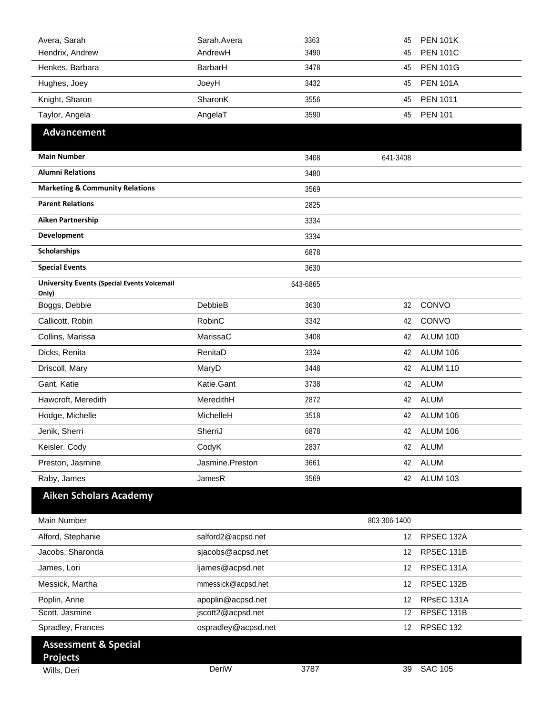| Avera, Sarah                                                | Sarah.Avera         | 3363     | 45              | <b>PEN 101K</b> |  |
|-------------------------------------------------------------|---------------------|----------|-----------------|-----------------|--|
| Hendrix, Andrew                                             | AndrewH             | 3490     | 45              | <b>PEN 101C</b> |  |
| Henkes, Barbara                                             | BarbarH             | 3478     | 45              | <b>PEN 101G</b> |  |
| Hughes, Joey                                                | JoeyH               | 3432     | 45              | <b>PEN 101A</b> |  |
| Knight, Sharon                                              | SharonK             | 3556     | 45              | <b>PEN 1011</b> |  |
| Taylor, Angela                                              | AngelaT             | 3590     | 45              | <b>PEN 101</b>  |  |
| <b>Advancement</b>                                          |                     |          |                 |                 |  |
| <b>Main Number</b>                                          |                     | 3408     | 641-3408        |                 |  |
| <b>Alumni Relations</b>                                     |                     | 3480     |                 |                 |  |
| <b>Marketing &amp; Community Relations</b>                  |                     | 3569     |                 |                 |  |
| <b>Parent Relations</b>                                     |                     | 2825     |                 |                 |  |
| <b>Aiken Partnership</b>                                    |                     | 3334     |                 |                 |  |
| <b>Development</b>                                          |                     | 3334     |                 |                 |  |
| <b>Scholarships</b>                                         |                     | 6878     |                 |                 |  |
| <b>Special Events</b>                                       |                     | 3630     |                 |                 |  |
| <b>University Events (Special Events Voicemail</b><br>Only) |                     | 643-6865 |                 |                 |  |
| Boggs, Debbie                                               | DebbieB             | 3630     | 32              | CONVO           |  |
| Callicott, Robin                                            | <b>RobinC</b>       | 3342     | 42              | CONVO           |  |
| Collins, Marissa                                            | MarissaC            | 3408     | 42              | <b>ALUM 100</b> |  |
| Dicks, Renita                                               | RenitaD             | 3334     | 42              | <b>ALUM 106</b> |  |
| Driscoll, Mary                                              | MaryD               | 3448     | 42              | <b>ALUM 110</b> |  |
| Gant, Katie                                                 | Katie.Gant          | 3738     | 42              | <b>ALUM</b>     |  |
| Hawcroft, Meredith                                          | MeredithH           | 2872     | 42              | <b>ALUM</b>     |  |
| Hodge, Michelle                                             | MichelleH           | 3518     | 42              | <b>ALUM 106</b> |  |
| Jenik, Sherri                                               | SherriJ             | 6878     | 42              | <b>ALUM 106</b> |  |
| Keisler. Cody                                               | CodyK               | 2837     | 42              | <b>ALUM</b>     |  |
| Preston, Jasmine                                            | Jasmine.Preston     | 3661     | 42              | <b>ALUM</b>     |  |
| Raby, James                                                 | JamesR              | 3569     | 42              | <b>ALUM 103</b> |  |
| <b>Aiken Scholars Academy</b>                               |                     |          |                 |                 |  |
| Main Number                                                 |                     |          | 803-306-1400    |                 |  |
| Alford, Stephanie                                           | salford2@acpsd.net  |          | 12 <sup>°</sup> | RPSEC 132A      |  |
| Jacobs, Sharonda                                            | sjacobs@acpsd.net   |          | $12 \,$         | RPSEC 131B      |  |
| James, Lori                                                 | ljames@acpsd.net    |          | 12              | RPSEC 131A      |  |
| Messick, Martha                                             | mmessick@acpsd.net  |          | 12              | RPSEC 132B      |  |
| Poplin, Anne                                                | apoplin@acpsd.net   |          | 12              | RPsEC 131A      |  |
| Scott, Jasmine                                              | jscott2@acpsd.net   |          | 12              | RPSEC 131B      |  |
| Spradley, Frances                                           | ospradley@acpsd.net |          | 12              | RPSEC 132       |  |
| <b>Assessment &amp; Special</b><br><b>Projects</b>          |                     |          |                 |                 |  |
| Wills, Deri                                                 | DeriW               | 3787     | 39              | <b>SAC 105</b>  |  |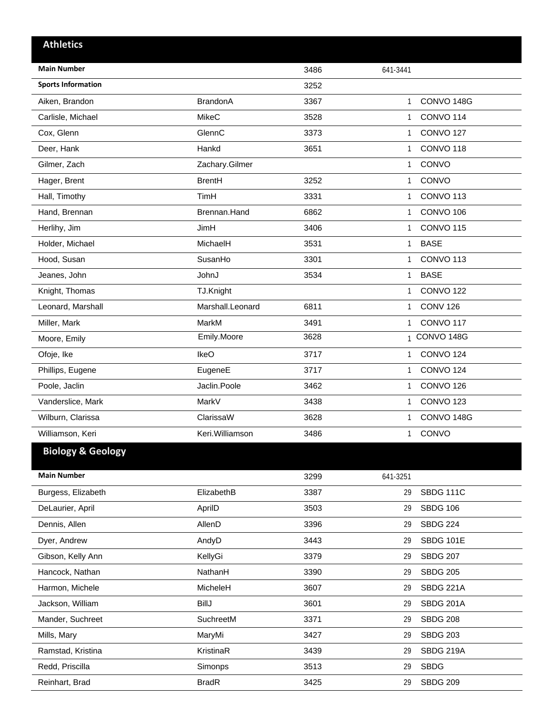| <b>Athletics</b>             |                  |      |              |                       |
|------------------------------|------------------|------|--------------|-----------------------|
| <b>Main Number</b>           |                  | 3486 | 641-3441     |                       |
| <b>Sports Information</b>    |                  | 3252 |              |                       |
| Aiken, Brandon               | <b>BrandonA</b>  | 3367 | $\mathbf{1}$ | CONVO <sub>148G</sub> |
| Carlisle, Michael            | <b>MikeC</b>     | 3528 | $\mathbf{1}$ | CONVO <sub>114</sub>  |
| Cox, Glenn                   | GlennC           | 3373 | 1            | CONVO <sub>127</sub>  |
| Deer, Hank                   | Hankd            | 3651 | 1            | CONVO <sub>118</sub>  |
| Gilmer, Zach                 | Zachary.Gilmer   |      | 1            | CONVO                 |
| Hager, Brent                 | <b>BrentH</b>    | 3252 | 1            | CONVO                 |
| Hall, Timothy                | TimH             | 3331 | 1            | CONVO <sub>113</sub>  |
| Hand, Brennan                | Brennan.Hand     | 6862 | 1            | CONVO <sub>106</sub>  |
| Herlihy, Jim                 | JimH             | 3406 | 1            | CONVO <sub>115</sub>  |
| Holder, Michael              | MichaelH         | 3531 | 1            | <b>BASE</b>           |
| Hood, Susan                  | SusanHo          | 3301 | 1            | CONVO <sub>113</sub>  |
| Jeanes, John                 | JohnJ            | 3534 | 1            | <b>BASE</b>           |
| Knight, Thomas               | TJ.Knight        |      | $\mathbf{1}$ | <b>CONVO 122</b>      |
| Leonard, Marshall            | Marshall.Leonard | 6811 | 1            | <b>CONV 126</b>       |
| Miller, Mark                 | MarkM            | 3491 | 1            | CONVO <sub>117</sub>  |
| Moore, Emily                 | Emily.Moore      | 3628 | $\mathbf{1}$ | CONVO 148G            |
| Ofoje, Ike                   | IkeO             | 3717 | 1            | CONVO <sub>124</sub>  |
| Phillips, Eugene             | EugeneE          | 3717 | 1            | CONVO <sub>124</sub>  |
| Poole, Jaclin                | Jaclin.Poole     | 3462 | 1            | CONVO <sub>126</sub>  |
| Vanderslice, Mark            | MarkV            | 3438 | 1            | CONVO <sub>123</sub>  |
| Wilburn, Clarissa            | ClarissaW        | 3628 | -1           | CONVO 148G            |
| Williamson, Keri             | Keri.Williamson  | 3486 | 1            | CONVO                 |
| <b>Biology &amp; Geology</b> |                  |      |              |                       |
| <b>Main Number</b>           |                  | 3299 | 641-3251     |                       |
| Burgess, Elizabeth           | ElizabethB       | 3387 | 29           | <b>SBDG 111C</b>      |
| DeLaurier, April             | AprilD           | 3503 | 29           | <b>SBDG 106</b>       |
| Dennis, Allen                | AllenD           | 3396 | 29           | <b>SBDG 224</b>       |
| Dyer, Andrew                 | AndyD            | 3443 | 29           | <b>SBDG 101E</b>      |
| Gibson, Kelly Ann            | KellyGi          | 3379 | 29           | <b>SBDG 207</b>       |
| Hancock, Nathan              | NathanH          | 3390 | 29           | <b>SBDG 205</b>       |
| Harmon, Michele              | MicheleH         | 3607 | 29           | <b>SBDG 221A</b>      |
| Jackson, William             | <b>BillJ</b>     | 3601 | 29           | <b>SBDG 201A</b>      |
| Mander, Suchreet             | SuchreetM        | 3371 | 29           | <b>SBDG 208</b>       |
| Mills, Mary                  | MaryMi           | 3427 | 29           | <b>SBDG 203</b>       |
|                              |                  |      |              |                       |
| Ramstad, Kristina            | KristinaR        | 3439 | 29           | <b>SBDG 219A</b>      |
| Redd, Priscilla              | Simonps          | 3513 | 29           | <b>SBDG</b>           |
| Reinhart, Brad               | <b>BradR</b>     | 3425 | 29           | <b>SBDG 209</b>       |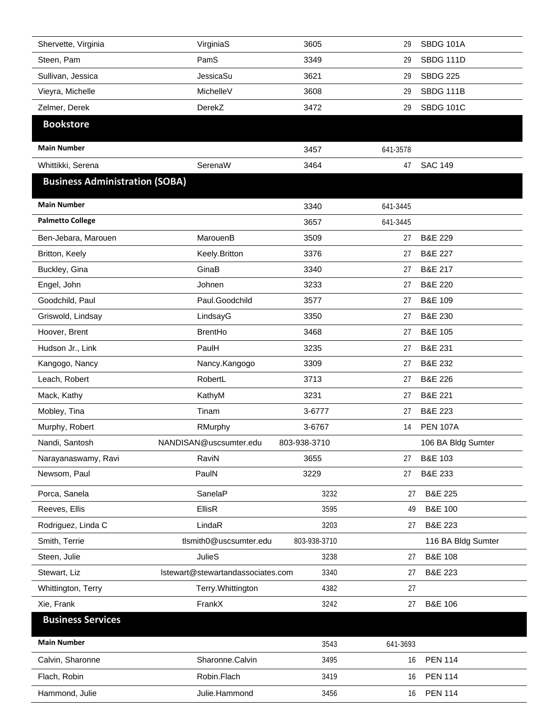| Shervette, Virginia                   | VirginiaS                         | 3605         | 29       | <b>SBDG 101A</b>   |
|---------------------------------------|-----------------------------------|--------------|----------|--------------------|
| Steen, Pam                            | PamS                              | 3349         | 29       | SBDG 111D          |
| Sullivan, Jessica                     | JessicaSu                         | 3621         | 29       | <b>SBDG 225</b>    |
| Vieyra, Michelle                      | MichelleV                         | 3608         | 29       | SBDG 111B          |
| Zelmer, Derek                         | DerekZ                            | 3472         | 29       | <b>SBDG 101C</b>   |
| <b>Bookstore</b>                      |                                   |              |          |                    |
| <b>Main Number</b>                    |                                   | 3457         | 641-3578 |                    |
| Whittikki, Serena                     | SerenaW                           | 3464         | 47       | <b>SAC 149</b>     |
| <b>Business Administration (SOBA)</b> |                                   |              |          |                    |
| <b>Main Number</b>                    |                                   |              |          |                    |
|                                       |                                   | 3340         | 641-3445 |                    |
| <b>Palmetto College</b>               |                                   | 3657         | 641-3445 |                    |
| Ben-Jebara, Marouen                   | MarouenB                          | 3509         | 27       | B&E 229            |
| Britton, Keely                        | Keely.Britton                     | 3376         | 27       | <b>B&amp;E 227</b> |
| Buckley, Gina                         | GinaB                             | 3340         | 27       | <b>B&amp;E 217</b> |
| Engel, John                           | Johnen                            | 3233         | 27       | <b>B&amp;E 220</b> |
| Goodchild, Paul                       | Paul.Goodchild                    | 3577         | 27       | <b>B&amp;E 109</b> |
| Griswold, Lindsay                     | LindsayG                          | 3350         | 27       | B&E 230            |
| Hoover, Brent                         | <b>BrentHo</b>                    | 3468         | 27       | <b>B&amp;E 105</b> |
| Hudson Jr., Link                      | PaulH                             | 3235         | 27       | B&E 231            |
| Kangogo, Nancy                        | Nancy.Kangogo                     | 3309         | 27       | B&E 232            |
| Leach, Robert                         | RobertL                           | 3713         | 27       | B&E 226            |
| Mack, Kathy                           | KathyM                            | 3231         | 27       | B&E 221            |
| Mobley, Tina                          | Tinam                             | 3-6777       | 27       | B&E 223            |
| Murphy, Robert                        | RMurphy                           | 3-6767       | 14       | <b>PEN 107A</b>    |
| Nandi, Santosh                        | NANDISAN@uscsumter.edu            | 803-938-3710 |          | 106 BA Bldg Sumter |
| Narayanaswamy, Ravi                   | RaviN                             | 3655         | 27       | <b>B&amp;E 103</b> |
| Newsom, Paul                          | PaulN                             | 3229         | 27       | B&E 233            |
| Porca, Sanela                         | SanelaP                           | 3232         | 27       | B&E 225            |
| Reeves, Ellis                         | EllisR                            | 3595         | 49       | <b>B&amp;E 100</b> |
| Rodriguez, Linda C                    | LindaR                            | 3203         | 27       | B&E 223            |
| Smith, Terrie                         | tlsmith0@uscsumter.edu            | 803-938-3710 |          | 116 BA Bldg Sumter |
| Steen, Julie                          | <b>JulieS</b>                     | 3238         | 27       | <b>B&amp;E 108</b> |
| Stewart, Liz                          | Istewart@stewartandassociates.com | 3340         | 27       | B&E 223            |
| Whittington, Terry                    | Terry. Whittington                | 4382         | 27       |                    |
| Xie, Frank                            | FrankX                            | 3242         | 27       | <b>B&amp;E 106</b> |
| <b>Business Services</b>              |                                   |              |          |                    |
| <b>Main Number</b>                    |                                   | 3543         | 641-3693 |                    |
| Calvin, Sharonne                      | Sharonne.Calvin                   | 3495         | 16       | <b>PEN 114</b>     |
| Flach, Robin                          | Robin.Flach                       | 3419         | 16       | <b>PEN 114</b>     |
| Hammond, Julie                        | Julie.Hammond                     | 3456         | 16       | <b>PEN 114</b>     |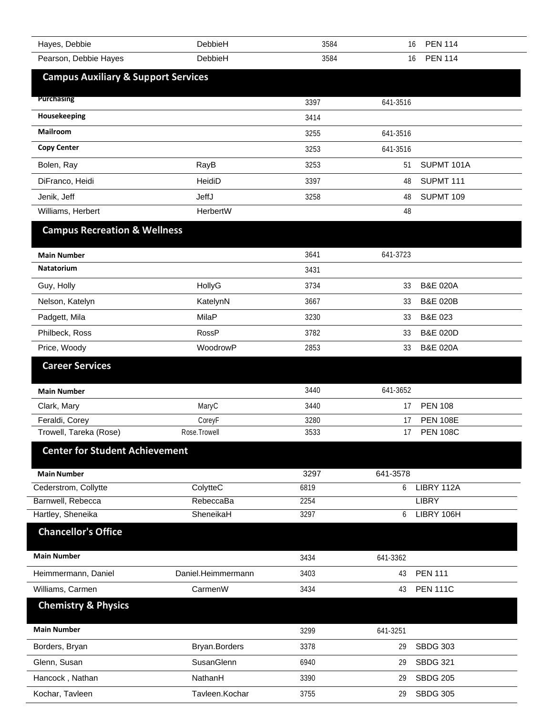| Hayes, Debbie                                  | DebbieH            | 3584 | 16       | <b>PEN 114</b>       |
|------------------------------------------------|--------------------|------|----------|----------------------|
| Pearson, Debbie Hayes                          | DebbieH            | 3584 | 16       | <b>PEN 114</b>       |
| <b>Campus Auxiliary &amp; Support Services</b> |                    |      |          |                      |
| <b>Purchasing</b>                              |                    | 3397 | 641-3516 |                      |
| Housekeeping                                   |                    | 3414 |          |                      |
| <b>Mailroom</b>                                |                    | 3255 | 641-3516 |                      |
| <b>Copy Center</b>                             |                    | 3253 | 641-3516 |                      |
| Bolen, Ray                                     | RayB               | 3253 | 51       | SUPMT 101A           |
| DiFranco, Heidi                                | HeidiD             | 3397 | 48       | SUPMT <sub>111</sub> |
| Jenik, Jeff                                    | JeffJ              | 3258 | 48       | SUPMT 109            |
| Williams, Herbert                              | HerbertW           |      | 48       |                      |
| <b>Campus Recreation &amp; Wellness</b>        |                    |      |          |                      |
| <b>Main Number</b>                             |                    | 3641 | 641-3723 |                      |
| <b>Natatorium</b>                              |                    | 3431 |          |                      |
| Guy, Holly                                     | HollyG             | 3734 | 33       | <b>B&amp;E 020A</b>  |
| Nelson, Katelyn                                | KatelynN           | 3667 | 33       | <b>B&amp;E 020B</b>  |
| Padgett, Mila                                  | MilaP              | 3230 | 33       | B&E 023              |
| Philbeck, Ross                                 | RossP              | 3782 | 33       | <b>B&amp;E 020D</b>  |
| Price, Woody                                   | WoodrowP           | 2853 | 33       | <b>B&amp;E 020A</b>  |
| <b>Career Services</b>                         |                    |      |          |                      |
| <b>Main Number</b>                             |                    | 3440 | 641-3652 |                      |
| Clark, Mary                                    | MaryC              | 3440 | 17       | <b>PEN 108</b>       |
| Feraldi, Corey                                 | CoreyF             | 3280 | 17       | <b>PEN 108E</b>      |
| Trowell, Tareka (Rose)                         | Rose.Trowell       | 3533 | 17       | <b>PEN 108C</b>      |
| <b>Center for Student Achievement</b>          |                    |      |          |                      |
| <b>Main Number</b>                             |                    | 3297 | 641-3578 |                      |
| Cederstrom, Collytte                           | ColytteC           | 6819 | 6        | LIBRY 112A           |
| Barnwell, Rebecca                              | RebeccaBa          | 2254 |          | <b>LIBRY</b>         |
| Hartley, Sheneika                              | SheneikaH          | 3297 | 6        | LIBRY 106H           |
| <b>Chancellor's Office</b>                     |                    |      |          |                      |
| <b>Main Number</b>                             |                    | 3434 | 641-3362 |                      |
| Heimmermann, Daniel                            | Daniel.Heimmermann | 3403 | 43       | <b>PEN 111</b>       |
| Williams, Carmen                               | CarmenW            | 3434 | 43       | <b>PEN 111C</b>      |
| <b>Chemistry &amp; Physics</b>                 |                    |      |          |                      |
| <b>Main Number</b>                             |                    | 3299 | 641-3251 |                      |
| Borders, Bryan                                 | Bryan.Borders      | 3378 | 29       | <b>SBDG 303</b>      |
| Glenn, Susan                                   | SusanGlenn         | 6940 | 29       | <b>SBDG 321</b>      |
| Hancock, Nathan                                | NathanH            | 3390 | 29       | <b>SBDG 205</b>      |
| Kochar, Tavleen                                | Tavleen.Kochar     | 3755 | 29       | <b>SBDG 305</b>      |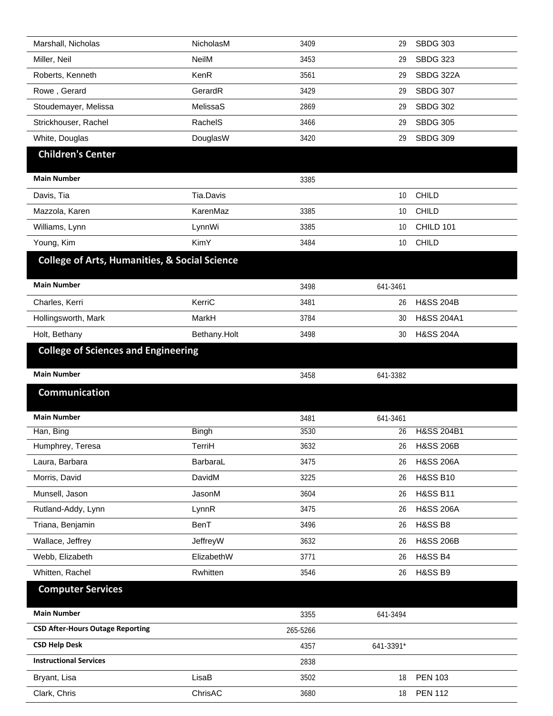| Marshall, Nicholas                                       | NicholasM    | 3409     | 29        | <b>SBDG 303</b>       |  |
|----------------------------------------------------------|--------------|----------|-----------|-----------------------|--|
| Miller, Neil                                             | <b>NeilM</b> | 3453     | 29        | <b>SBDG 323</b>       |  |
| Roberts, Kenneth                                         | KenR         | 3561     | 29        | SBDG 322A             |  |
| Rowe, Gerard                                             | GerardR      | 3429     | 29        | <b>SBDG 307</b>       |  |
| Stoudemayer, Melissa                                     | MelissaS     | 2869     | 29        | <b>SBDG 302</b>       |  |
| Strickhouser, Rachel                                     | RachelS      | 3466     | 29        | <b>SBDG 305</b>       |  |
| White, Douglas                                           | DouglasW     | 3420     | 29        | <b>SBDG 309</b>       |  |
| <b>Children's Center</b>                                 |              |          |           |                       |  |
| <b>Main Number</b>                                       |              |          |           |                       |  |
|                                                          |              | 3385     |           |                       |  |
| Davis, Tia                                               | Tia.Davis    |          | 10        | CHILD                 |  |
| Mazzola, Karen                                           | KarenMaz     | 3385     | 10        | CHILD                 |  |
| Williams, Lynn                                           | LynnWi       | 3385     | 10        | CHILD 101             |  |
| Young, Kim                                               | KimY         | 3484     | 10        | CHILD                 |  |
| <b>College of Arts, Humanities, &amp; Social Science</b> |              |          |           |                       |  |
| <b>Main Number</b>                                       |              | 3498     | 641-3461  |                       |  |
| Charles, Kerri                                           | KerriC       | 3481     | 26        | <b>H&amp;SS 204B</b>  |  |
| Hollingsworth, Mark                                      | MarkH        | 3784     | 30        | H&SS 204A1            |  |
| Holt, Bethany                                            | Bethany.Holt | 3498     | 30        | <b>H&amp;SS 204A</b>  |  |
| <b>College of Sciences and Engineering</b>               |              |          |           |                       |  |
|                                                          |              |          |           |                       |  |
|                                                          |              |          |           |                       |  |
| <b>Main Number</b>                                       |              | 3458     | 641-3382  |                       |  |
| Communication                                            |              |          |           |                       |  |
| <b>Main Number</b>                                       |              | 3481     | 641-3461  |                       |  |
| Han, Bing                                                | <b>Bingh</b> | 3530     | 26        | <b>H&amp;SS 204B1</b> |  |
| Humphrey, Teresa                                         | TerriH       | 3632     | 26        | <b>H&amp;SS 206B</b>  |  |
| Laura, Barbara                                           | BarbaraL     | 3475     | 26        | <b>H&amp;SS 206A</b>  |  |
| Morris, David                                            | DavidM       | 3225     | 26        | <b>H&amp;SS B10</b>   |  |
| Munsell, Jason                                           | JasonM       | 3604     | 26        | <b>H&amp;SS B11</b>   |  |
| Rutland-Addy, Lynn                                       | LynnR        | 3475     | 26        | <b>H&amp;SS 206A</b>  |  |
| Triana, Benjamin                                         | BenT         | 3496     | 26        | <b>H&amp;SS B8</b>    |  |
| Wallace, Jeffrey                                         | JeffreyW     | 3632     | 26        | <b>H&amp;SS 206B</b>  |  |
| Webb, Elizabeth                                          | ElizabethW   | 3771     | 26        | <b>H&amp;SS B4</b>    |  |
| Whitten, Rachel                                          | Rwhitten     | 3546     | 26        | <b>H&amp;SS B9</b>    |  |
| <b>Computer Services</b>                                 |              |          |           |                       |  |
| <b>Main Number</b>                                       |              | 3355     | 641-3494  |                       |  |
| <b>CSD After-Hours Outage Reporting</b>                  |              | 265-5266 |           |                       |  |
| <b>CSD Help Desk</b>                                     |              | 4357     | 641-3391* |                       |  |
| <b>Instructional Services</b>                            |              | 2838     |           |                       |  |
| Bryant, Lisa                                             | LisaB        | 3502     | 18        | <b>PEN 103</b>        |  |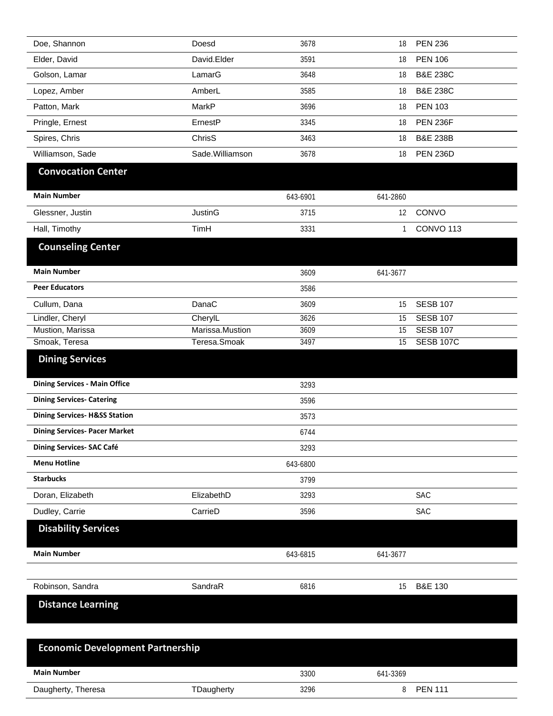| Doe, Shannon                             | Doesd           | 3678     | 18       | <b>PEN 236</b>       |
|------------------------------------------|-----------------|----------|----------|----------------------|
| Elder, David                             | David.Elder     | 3591     | 18       | <b>PEN 106</b>       |
| Golson, Lamar                            | LamarG          | 3648     | 18       | <b>B&amp;E 238C</b>  |
| Lopez, Amber                             | AmberL          | 3585     | 18       | <b>B&amp;E 238C</b>  |
| Patton, Mark                             | MarkP           | 3696     | 18       | <b>PEN 103</b>       |
| Pringle, Ernest                          | ErnestP         | 3345     | 18       | <b>PEN 236F</b>      |
| Spires, Chris                            | ChrisS          | 3463     | 18       | <b>B&amp;E 238B</b>  |
| Williamson, Sade                         | Sade.Williamson | 3678     | 18       | <b>PEN 236D</b>      |
| <b>Convocation Center</b>                |                 |          |          |                      |
| <b>Main Number</b>                       |                 | 643-6901 | 641-2860 |                      |
| Glessner, Justin                         | <b>JustinG</b>  | 3715     | 12       | CONVO                |
| Hall, Timothy                            | TimH            | 3331     | 1        | CONVO <sub>113</sub> |
| <b>Counseling Center</b>                 |                 |          |          |                      |
| <b>Main Number</b>                       |                 | 3609     | 641-3677 |                      |
| <b>Peer Educators</b>                    |                 | 3586     |          |                      |
| Cullum, Dana                             | DanaC           | 3609     | 15       | <b>SESB 107</b>      |
| Lindler, Cheryl                          | CherylL         | 3626     | 15       | <b>SESB 107</b>      |
| Mustion, Marissa                         | Marissa.Mustion | 3609     | 15       | <b>SESB 107</b>      |
| Smoak, Teresa                            | Teresa.Smoak    | 3497     | 15       | <b>SESB 107C</b>     |
| <b>Dining Services</b>                   |                 |          |          |                      |
| <b>Dining Services - Main Office</b>     |                 | 3293     |          |                      |
| <b>Dining Services- Catering</b>         |                 | 3596     |          |                      |
| <b>Dining Services- H&amp;SS Station</b> |                 | 3573     |          |                      |
| <b>Dining Services- Pacer Market</b>     |                 | 6744     |          |                      |
| Dining Services- SAC Café                |                 | 3293     |          |                      |
| <b>Menu Hotline</b>                      |                 | 643-6800 |          |                      |
| <b>Starbucks</b>                         |                 | 3799     |          |                      |
| Doran, Elizabeth                         | ElizabethD      | 3293     |          | SAC                  |
| Dudley, Carrie                           | CarrieD         | 3596     |          | <b>SAC</b>           |
| <b>Disability Services</b>               |                 |          |          |                      |
| <b>Main Number</b>                       |                 | 643-6815 | 641-3677 |                      |
|                                          |                 |          |          |                      |
| Robinson, Sandra                         | SandraR         | 6816     | 15       | B&E 130              |
| <b>Distance Learning</b>                 |                 |          |          |                      |
|                                          |                 |          |          |                      |
| <b>Economic Development Partnership</b>  |                 |          |          |                      |
|                                          |                 |          |          |                      |
| <b>Main Number</b>                       |                 | 3300     | 641-3369 |                      |

Daugherty, Theresa **TDaugherty** 3296 3296 8 PEN 111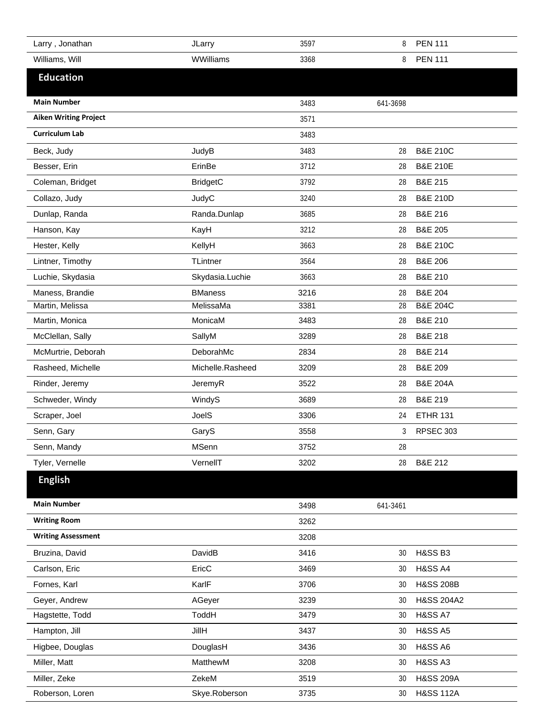| Larry, Jonathan              | JLarry           | 3597 | 8        | <b>PEN 111</b>       |
|------------------------------|------------------|------|----------|----------------------|
| Williams, Will               | WWilliams        | 3368 | 8        | <b>PEN 111</b>       |
| <b>Education</b>             |                  |      |          |                      |
| <b>Main Number</b>           |                  | 3483 | 641-3698 |                      |
| <b>Aiken Writing Project</b> |                  | 3571 |          |                      |
| <b>Curriculum Lab</b>        |                  | 3483 |          |                      |
| Beck, Judy                   | JudyB            | 3483 | 28       | <b>B&amp;E 210C</b>  |
| Besser, Erin                 | ErinBe           | 3712 | 28       | <b>B&amp;E 210E</b>  |
| Coleman, Bridget             | <b>BridgetC</b>  | 3792 | 28       | <b>B&amp;E 215</b>   |
| Collazo, Judy                | JudyC            | 3240 | 28       | <b>B&amp;E 210D</b>  |
| Dunlap, Randa                | Randa.Dunlap     | 3685 | 28       | <b>B&amp;E 216</b>   |
| Hanson, Kay                  | KayH             | 3212 | 28       | <b>B&amp;E 205</b>   |
| Hester, Kelly                | KellyH           | 3663 | 28       | <b>B&amp;E 210C</b>  |
| Lintner, Timothy             | <b>TLintner</b>  | 3564 | 28       | <b>B&amp;E 206</b>   |
| Luchie, Skydasia             | Skydasia.Luchie  | 3663 | 28       | <b>B&amp;E 210</b>   |
| Maness, Brandie              | <b>BManess</b>   | 3216 | 28       | <b>B&amp;E 204</b>   |
| Martin, Melissa              | MelissaMa        | 3381 | 28       | <b>B&amp;E 204C</b>  |
| Martin, Monica               | MonicaM          | 3483 | 28       | <b>B&amp;E 210</b>   |
| McClellan, Sally             | SallyM           | 3289 | 28       | <b>B&amp;E 218</b>   |
| McMurtrie, Deborah           | DeborahMc        | 2834 | 28       | B&E 214              |
| Rasheed, Michelle            | Michelle.Rasheed | 3209 | 28       | <b>B&amp;E 209</b>   |
| Rinder, Jeremy               | JeremyR          | 3522 | 28       | <b>B&amp;E 204A</b>  |
| Schweder, Windy              | WindyS           | 3689 | 28       | <b>B&amp;E 219</b>   |
| Scraper, Joel                | JoelS            | 3306 | 24       | <b>ETHR 131</b>      |
| Senn, Gary                   | GaryS            | 3558 | 3        | RPSEC 303            |
| Senn, Mandy                  | <b>MSenn</b>     | 3752 | 28       |                      |
| Tyler, Vernelle              | VernellT         | 3202 | 28       | B&E 212              |
| <b>English</b>               |                  |      |          |                      |
| <b>Main Number</b>           |                  | 3498 | 641-3461 |                      |
| <b>Writing Room</b>          |                  | 3262 |          |                      |
| <b>Writing Assessment</b>    |                  | 3208 |          |                      |
| Bruzina, David               | DavidB           | 3416 | 30       | <b>H&amp;SS B3</b>   |
| Carlson, Eric                | EricC            | 3469 | 30       | <b>H&amp;SS A4</b>   |
| Fornes, Karl                 | KarlF            | 3706 | 30       | <b>H&amp;SS 208B</b> |
| Geyer, Andrew                | AGeyer           | 3239 | 30       | H&SS 204A2           |
| Hagstette, Todd              | ToddH            | 3479 | 30       | <b>H&amp;SS A7</b>   |
| Hampton, Jill                | JillH            | 3437 | 30       | <b>H&amp;SS A5</b>   |
| Higbee, Douglas              | DouglasH         | 3436 | 30       | <b>H&amp;SS A6</b>   |
| Miller, Matt                 | MatthewM         | 3208 | 30       | <b>H&amp;SS A3</b>   |
| Miller, Zeke                 | ZekeM            | 3519 | 30       | <b>H&amp;SS 209A</b> |
| Roberson, Loren              | Skye.Roberson    | 3735 | 30       | <b>H&amp;SS 112A</b> |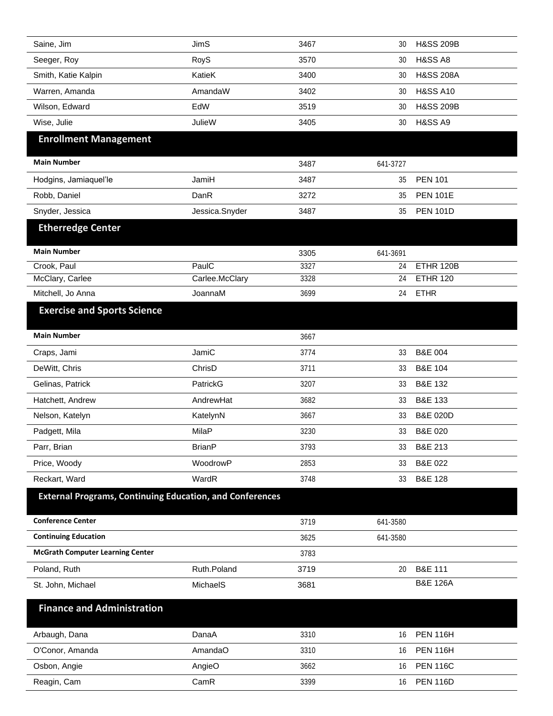| Saine, Jim                                                      | <b>JimS</b>    | 3467 | 30       | <b>H&amp;SS 209B</b> |
|-----------------------------------------------------------------|----------------|------|----------|----------------------|
| Seeger, Roy                                                     | RoyS           | 3570 | 30       | <b>H&amp;SS A8</b>   |
| Smith, Katie Kalpin                                             | KatieK         | 3400 | 30       | <b>H&amp;SS 208A</b> |
| Warren, Amanda                                                  | AmandaW        | 3402 | 30       | <b>H&amp;SS A10</b>  |
| Wilson, Edward                                                  | EdW            | 3519 | 30       | <b>H&amp;SS 209B</b> |
| Wise, Julie                                                     | JulieW         | 3405 | 30       | <b>H&amp;SS A9</b>   |
| <b>Enrollment Management</b>                                    |                |      |          |                      |
| <b>Main Number</b>                                              |                | 3487 | 641-3727 |                      |
| Hodgins, Jamiaquel'le                                           | JamiH          | 3487 | 35       | <b>PEN 101</b>       |
| Robb, Daniel                                                    | DanR           | 3272 | 35       | <b>PEN 101E</b>      |
| Snyder, Jessica                                                 | Jessica.Snyder | 3487 | 35       | <b>PEN 101D</b>      |
| <b>Etherredge Center</b>                                        |                |      |          |                      |
| <b>Main Number</b>                                              |                | 3305 | 641-3691 |                      |
| Crook, Paul                                                     | PaulC          | 3327 | 24       | ETHR 120B            |
| McClary, Carlee                                                 | Carlee.McClary | 3328 | 24       | <b>ETHR 120</b>      |
| Mitchell, Jo Anna                                               | JoannaM        | 3699 | 24       | <b>ETHR</b>          |
| <b>Exercise and Sports Science</b>                              |                |      |          |                      |
| <b>Main Number</b>                                              |                | 3667 |          |                      |
| Craps, Jami                                                     | JamiC          | 3774 | 33       | <b>B&amp;E 004</b>   |
| DeWitt, Chris                                                   | ChrisD         | 3711 | 33       | <b>B&amp;E 104</b>   |
| Gelinas, Patrick                                                | PatrickG       | 3207 | 33       | B&E 132              |
| Hatchett, Andrew                                                | AndrewHat      | 3682 | 33       | B&E 133              |
| Nelson, Katelyn                                                 | KatelynN       | 3667 | 33       | <b>B&amp;E 020D</b>  |
| Padgett, Mila                                                   | MilaP          | 3230 | 33       | B&E 020              |
| Parr, Brian                                                     | <b>BrianP</b>  | 3793 | 33       | B&E 213              |
| Price, Woody                                                    | WoodrowP       | 2853 | 33       | B&E 022              |
| Reckart, Ward                                                   | WardR          | 3748 | 33       | <b>B&amp;E 128</b>   |
| <b>External Programs, Continuing Education, and Conferences</b> |                |      |          |                      |
| <b>Conference Center</b>                                        |                | 3719 | 641-3580 |                      |
| <b>Continuing Education</b>                                     |                | 3625 | 641-3580 |                      |
| <b>McGrath Computer Learning Center</b>                         |                | 3783 |          |                      |
| Poland, Ruth                                                    | Ruth.Poland    | 3719 |          | 20 B&E 111           |
| St. John, Michael                                               | MichaelS       | 3681 |          | <b>B&amp;E 126A</b>  |
| <b>Finance and Administration</b>                               |                |      |          |                      |
| Arbaugh, Dana                                                   | DanaA          | 3310 | 16       | <b>PEN 116H</b>      |
| O'Conor, Amanda                                                 | AmandaO        | 3310 | 16       | <b>PEN 116H</b>      |
| Osbon, Angie                                                    | AngieO         | 3662 | 16       | <b>PEN 116C</b>      |
| Reagin, Cam                                                     | CamR           | 3399 | 16       | <b>PEN 116D</b>      |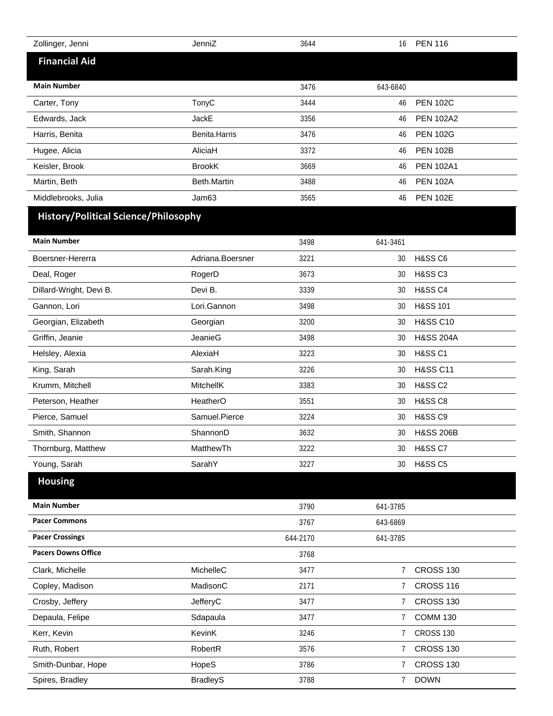| Zollinger, Jenni                            | JenniZ           | 3644     | 16             | <b>PEN 116</b>       |
|---------------------------------------------|------------------|----------|----------------|----------------------|
| <b>Financial Aid</b>                        |                  |          |                |                      |
| <b>Main Number</b>                          |                  | 3476     | 643-6840       |                      |
| Carter, Tony                                | TonyC            | 3444     | 46             | <b>PEN 102C</b>      |
| Edwards, Jack                               | <b>JackE</b>     | 3356     | 46             | <b>PEN 102A2</b>     |
| Harris, Benita                              | Benita.Harris    | 3476     | 46             | <b>PEN 102G</b>      |
| Hugee, Alicia                               | AliciaH          | 3372     | 46             | <b>PEN 102B</b>      |
| Keisler, Brook                              | <b>BrookK</b>    | 3669     | 46             | <b>PEN 102A1</b>     |
| Martin, Beth                                | Beth.Martin      | 3488     | 46             | <b>PEN 102A</b>      |
| Middlebrooks, Julia                         | Jam63            | 3565     | 46             | <b>PEN 102E</b>      |
| <b>History/Political Science/Philosophy</b> |                  |          |                |                      |
| <b>Main Number</b>                          |                  | 3498     | 641-3461       |                      |
| Boersner-Hererra                            | Adriana.Boersner | 3221     | 30             | H&SS C6              |
| Deal, Roger                                 | RogerD           | 3673     | 30             | <b>H&amp;SS C3</b>   |
| Dillard-Wright, Devi B.                     | Devi B.          | 3339     | 30             | <b>H&amp;SS C4</b>   |
| Gannon, Lori                                | Lori.Gannon      | 3498     | 30             | H&SS 101             |
| Georgian, Elizabeth                         | Georgian         | 3200     | 30             | <b>H&amp;SS C10</b>  |
| Griffin, Jeanie                             | JeanieG          | 3498     | 30             | <b>H&amp;SS 204A</b> |
| Helsley, Alexia                             | AlexiaH          | 3223     | 30             | <b>H&amp;SS C1</b>   |
| King, Sarah                                 | Sarah.King       | 3226     | 30             | <b>H&amp;SS C11</b>  |
| Krumm, Mitchell                             | MitchellK        | 3383     | 30             | <b>H&amp;SS C2</b>   |
| Peterson, Heather                           | HeatherO         | 3551     | 30             | <b>H&amp;SS C8</b>   |
| Pierce, Samuel                              | Samuel.Pierce    | 3224     | 30             | <b>H&amp;SS C9</b>   |
| Smith, Shannon                              | ShannonD         | 3632     | 30             | <b>H&amp;SS 206B</b> |
| Thornburg, Matthew                          | MatthewTh        | 3222     | 30             | <b>H&amp;SS C7</b>   |
| Young, Sarah                                | SarahY           | 3227     | 30             | <b>H&amp;SS C5</b>   |
| <b>Housing</b>                              |                  |          |                |                      |
| <b>Main Number</b>                          |                  | 3790     | 641-3785       |                      |
| <b>Pacer Commons</b>                        |                  | 3767     | 643-6869       |                      |
| <b>Pacer Crossings</b>                      |                  | 644-2170 | 641-3785       |                      |
| <b>Pacers Downs Office</b>                  |                  | 3768     |                |                      |
| Clark, Michelle                             | MichelleC        | 3477     | $\overline{7}$ | <b>CROSS 130</b>     |
| Copley, Madison                             | MadisonC         | 2171     | 7              | <b>CROSS 116</b>     |
| Crosby, Jeffery                             | JefferyC         | 3477     | 7              | <b>CROSS 130</b>     |
| Depaula, Felipe                             | Sdapaula         | 3477     | $\overline{7}$ | <b>COMM 130</b>      |
| Kerr, Kevin                                 | KevinK           | 3246     | 7              | <b>CROSS 130</b>     |
| Ruth, Robert                                | RobertR          | 3576     | $\overline{7}$ | <b>CROSS 130</b>     |
| Smith-Dunbar, Hope                          | HopeS            | 3786     | $\overline{7}$ | <b>CROSS 130</b>     |
| Spires, Bradley                             | <b>BradleyS</b>  | 3788     | $\overline{7}$ | <b>DOWN</b>          |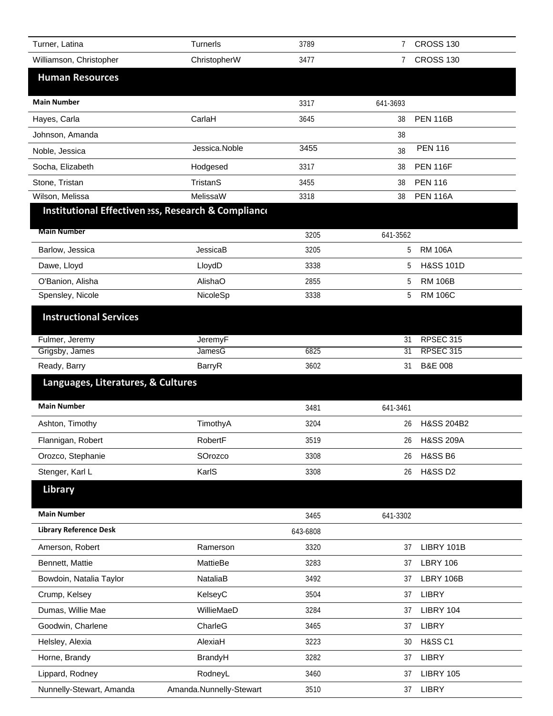| Turner, Latina                                      | <b>Turnerls</b>         | 3789     | $\overline{7}$ | <b>CROSS 130</b>     |
|-----------------------------------------------------|-------------------------|----------|----------------|----------------------|
| Williamson, Christopher                             | ChristopherW            | 3477     | 7              | <b>CROSS 130</b>     |
| <b>Human Resources</b>                              |                         |          |                |                      |
| <b>Main Number</b>                                  |                         | 3317     | 641-3693       |                      |
| Hayes, Carla                                        | CarlaH                  | 3645     | 38             | <b>PEN 116B</b>      |
| Johnson, Amanda                                     |                         |          | 38             |                      |
| Noble, Jessica                                      | Jessica.Noble           | 3455     | 38             | <b>PEN 116</b>       |
| Socha, Elizabeth                                    | Hodgesed                | 3317     | 38             | <b>PEN 116F</b>      |
| Stone, Tristan                                      | TristanS                | 3455     | 38             | <b>PEN 116</b>       |
| Wilson, Melissa                                     | MelissaW                | 3318     | 38             | <b>PEN 116A</b>      |
| Institutional Effectiven ess, Research & Compliance |                         |          |                |                      |
| <b>Main Number</b>                                  |                         | 3205     | 641-3562       |                      |
| Barlow, Jessica                                     | JessicaB                | 3205     | 5              | <b>RM 106A</b>       |
| Dawe, Lloyd                                         | LloydD                  | 3338     | 5              | <b>H&amp;SS 101D</b> |
| O'Banion, Alisha                                    | AlishaO                 | 2855     | 5              | <b>RM 106B</b>       |
| Spensley, Nicole                                    | NicoleSp                | 3338     | 5              | <b>RM 106C</b>       |
|                                                     |                         |          |                |                      |
| <b>Instructional Services</b>                       |                         |          |                |                      |
| Fulmer, Jeremy                                      | JeremyF                 |          | 31             | RPSEC 315            |
| Grigsby, James                                      | JamesG                  | 6825     | 31             | RPSEC 315            |
| Ready, Barry                                        | <b>BarryR</b>           | 3602     | 31             | <b>B&amp;E 008</b>   |
| Languages, Literatures, & Cultures                  |                         |          |                |                      |
| <b>Main Number</b>                                  |                         | 3481     | 641-3461       |                      |
| Ashton, Timothy                                     | TimothyA                | 3204     | 26             | H&SS 204B2           |
| Flannigan, Robert                                   | RobertF                 | 3519     | 26             | <b>H&amp;SS 209A</b> |
| Orozco, Stephanie                                   | SOrozco                 | 3308     | 26             | <b>H&amp;SS B6</b>   |
| Stenger, Karl L                                     | KarlS                   | 3308     | 26             | <b>H&amp;SS D2</b>   |
| <b>Library</b>                                      |                         |          |                |                      |
| <b>Main Number</b>                                  |                         | 3465     | 641-3302       |                      |
| <b>Library Reference Desk</b>                       |                         | 643-6808 |                |                      |
| Amerson, Robert                                     | Ramerson                | 3320     | 37             | LIBRY 101B           |
| Bennett, Mattie                                     | MattieBe                | 3283     | 37             | <b>LBRY 106</b>      |
| Bowdoin, Natalia Taylor                             | NataliaB                | 3492     | 37             | LBRY 106B            |
| Crump, Kelsey                                       | KelseyC                 | 3504     | 37             | <b>LIBRY</b>         |
| Dumas, Willie Mae                                   | WillieMaeD              | 3284     | 37             | LIBRY 104            |
| Goodwin, Charlene                                   | CharleG                 | 3465     | 37             | <b>LIBRY</b>         |
| Helsley, Alexia                                     | AlexiaH                 | 3223     | 30             | <b>H&amp;SS C1</b>   |
| Horne, Brandy                                       | BrandyH                 | 3282     | 37             | <b>LIBRY</b>         |
| Lippard, Rodney                                     | RodneyL                 | 3460     | 37             | LIBRY 105            |
| Nunnelly-Stewart, Amanda                            | Amanda.Nunnelly-Stewart | 3510     | 37             | <b>LIBRY</b>         |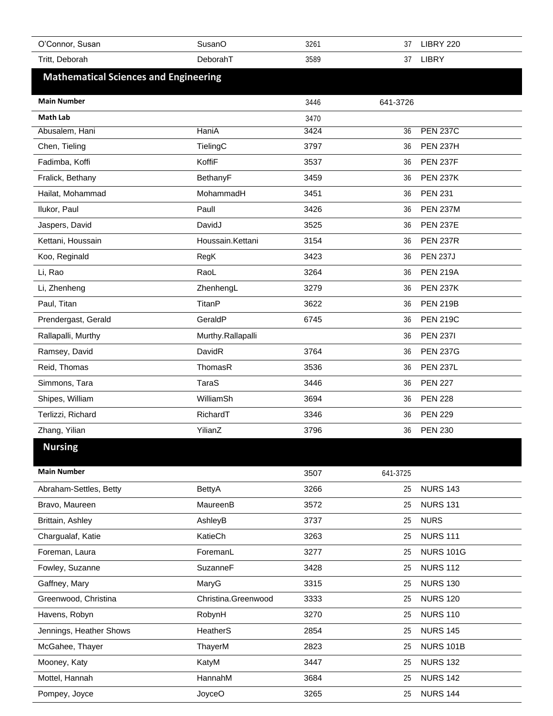| O'Connor, Susan                              | SusanO              | 3261 | 37       | LIBRY 220        |
|----------------------------------------------|---------------------|------|----------|------------------|
| Tritt, Deborah                               | DeborahT            | 3589 | 37       | <b>LIBRY</b>     |
| <b>Mathematical Sciences and Engineering</b> |                     |      |          |                  |
| <b>Main Number</b>                           |                     | 3446 | 641-3726 |                  |
| <b>Math Lab</b>                              |                     | 3470 |          |                  |
| Abusalem, Hani                               | HaniA               | 3424 | 36       | <b>PEN 237C</b>  |
| Chen, Tieling                                | TielingC            | 3797 | 36       | <b>PEN 237H</b>  |
| Fadimba, Koffi                               | KoffiF              | 3537 | 36       | <b>PEN 237F</b>  |
| Fralick, Bethany                             | BethanyF            | 3459 | 36       | <b>PEN 237K</b>  |
| Hailat, Mohammad                             | MohammadH           | 3451 | 36       | <b>PEN 231</b>   |
| Ilukor, Paul                                 | Paull               | 3426 | 36       | <b>PEN 237M</b>  |
| Jaspers, David                               | DavidJ              | 3525 | 36       | <b>PEN 237E</b>  |
| Kettani, Houssain                            | Houssain.Kettani    | 3154 | 36       | <b>PEN 237R</b>  |
| Koo, Reginald                                | RegK                | 3423 | 36       | <b>PEN 237J</b>  |
| Li, Rao                                      | RaoL                | 3264 | 36       | <b>PEN 219A</b>  |
| Li, Zhenheng                                 | ZhenhengL           | 3279 | 36       | <b>PEN 237K</b>  |
| Paul, Titan                                  | TitanP              | 3622 | 36       | <b>PEN 219B</b>  |
| Prendergast, Gerald                          | GeraldP             | 6745 | 36       | <b>PEN 219C</b>  |
| Rallapalli, Murthy                           | Murthy.Rallapalli   |      | 36       | <b>PEN 2371</b>  |
| Ramsey, David                                | DavidR              | 3764 | 36       | <b>PEN 237G</b>  |
| Reid, Thomas                                 | ThomasR             | 3536 | 36       | <b>PEN 237L</b>  |
| Simmons, Tara                                | TaraS               | 3446 | 36       | <b>PEN 227</b>   |
| Shipes, William                              | WilliamSh           | 3694 | 36       | <b>PEN 228</b>   |
| Terlizzi, Richard                            | RichardT            | 3346 | 36       | <b>PEN 229</b>   |
| Zhang, Yilian                                | YilianZ             | 3796 | 36       | <b>PEN 230</b>   |
| <b>Nursing</b>                               |                     |      |          |                  |
| <b>Main Number</b>                           |                     | 3507 | 641-3725 |                  |
| Abraham-Settles, Betty                       | BettyA              | 3266 | 25       | <b>NURS 143</b>  |
| Bravo, Maureen                               | MaureenB            | 3572 | 25       | <b>NURS 131</b>  |
| Brittain, Ashley                             | AshleyB             | 3737 | 25       | <b>NURS</b>      |
| Chargualaf, Katie                            | KatieCh             | 3263 | 25       | <b>NURS 111</b>  |
| Foreman, Laura                               | ForemanL            | 3277 | 25       | <b>NURS 101G</b> |
| Fowley, Suzanne                              | SuzanneF            | 3428 | 25       | <b>NURS 112</b>  |
| Gaffney, Mary                                | MaryG               | 3315 | 25       | <b>NURS 130</b>  |
| Greenwood, Christina                         | Christina.Greenwood | 3333 | 25       | <b>NURS 120</b>  |
| Havens, Robyn                                | RobynH              | 3270 | 25       | <b>NURS 110</b>  |
| Jennings, Heather Shows                      | HeatherS            | 2854 | 25       | <b>NURS 145</b>  |
| McGahee, Thayer                              | ThayerM             | 2823 | 25       | <b>NURS 101B</b> |
| Mooney, Katy                                 | KatyM               | 3447 | 25       | <b>NURS 132</b>  |
| Mottel, Hannah                               | HannahM             | 3684 | 25       | <b>NURS 142</b>  |
| Pompey, Joyce                                | JoyceO              | 3265 | 25       | <b>NURS 144</b>  |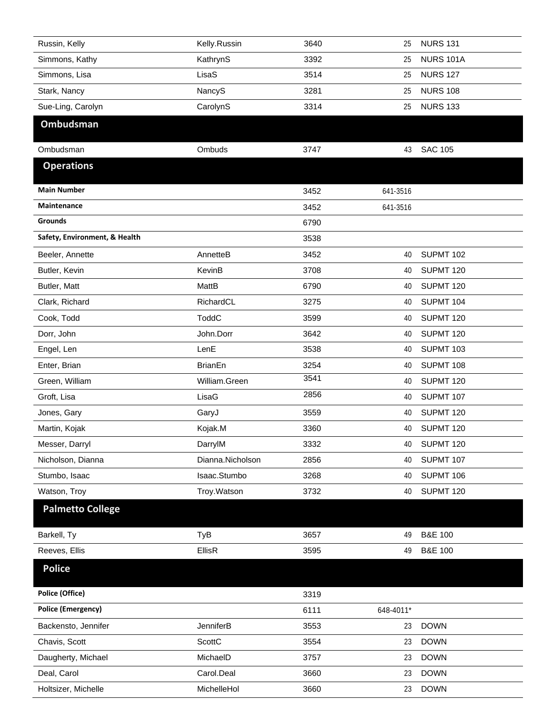| Russin, Kelly                 | Kelly.Russin     | 3640 | 25        | <b>NURS 131</b>    |
|-------------------------------|------------------|------|-----------|--------------------|
| Simmons, Kathy                | KathrynS         | 3392 | 25        | <b>NURS 101A</b>   |
| Simmons, Lisa                 | LisaS            | 3514 | 25        | <b>NURS 127</b>    |
| Stark, Nancy                  | NancyS           | 3281 | 25        | <b>NURS 108</b>    |
| Sue-Ling, Carolyn             | CarolynS         | 3314 | 25        | <b>NURS 133</b>    |
| Ombudsman                     |                  |      |           |                    |
| Ombudsman                     | Ombuds           | 3747 | 43        | <b>SAC 105</b>     |
| <b>Operations</b>             |                  |      |           |                    |
| <b>Main Number</b>            |                  | 3452 | 641-3516  |                    |
| Maintenance                   |                  | 3452 | 641-3516  |                    |
| Grounds                       |                  | 6790 |           |                    |
| Safety, Environment, & Health |                  | 3538 |           |                    |
| Beeler, Annette               | AnnetteB         | 3452 | 40        | SUPMT 102          |
| Butler, Kevin                 | KevinB           | 3708 | 40        | SUPMT 120          |
| Butler, Matt                  | MattB            | 6790 | 40        | SUPMT 120          |
| Clark, Richard                | RichardCL        | 3275 | 40        | SUPMT 104          |
| Cook, Todd                    | ToddC            | 3599 | 40        | SUPMT 120          |
| Dorr, John                    | John.Dorr        | 3642 | 40        | SUPMT 120          |
| Engel, Len                    | LenE             | 3538 | 40        | SUPMT 103          |
| Enter, Brian                  | <b>BrianEn</b>   | 3254 | 40        | SUPMT 108          |
| Green, William                | William.Green    | 3541 | 40        | SUPMT 120          |
| Groft, Lisa                   | LisaG            | 2856 | 40        | SUPMT 107          |
| Jones, Gary                   | GaryJ            | 3559 | 40        | SUPMT 120          |
| Martin, Kojak                 | Kojak.M          | 3360 | 40        | SUPMT 120          |
| Messer, Darryl                | DarrylM          | 3332 | 40        | <b>SUPMT 120</b>   |
| Nicholson, Dianna             | Dianna.Nicholson | 2856 | 40        | SUPMT 107          |
| Stumbo, Isaac                 | Isaac.Stumbo     | 3268 | 40        | SUPMT 106          |
| Watson, Troy                  | Troy.Watson      | 3732 | 40        | SUPMT 120          |
| <b>Palmetto College</b>       |                  |      |           |                    |
| Barkell, Ty                   | <b>TyB</b>       | 3657 | 49        | <b>B&amp;E 100</b> |
| Reeves, Ellis                 | EllisR           | 3595 | 49        | <b>B&amp;E 100</b> |
| <b>Police</b>                 |                  |      |           |                    |
| Police (Office)               |                  | 3319 |           |                    |
| <b>Police (Emergency)</b>     |                  | 6111 | 648-4011* |                    |
| Backensto, Jennifer           | JenniferB        | 3553 | 23        | <b>DOWN</b>        |
| Chavis, Scott                 | ScottC           | 3554 | 23        | <b>DOWN</b>        |
| Daugherty, Michael            | MichaelD         | 3757 | 23        | <b>DOWN</b>        |
| Deal, Carol                   | Carol.Deal       | 3660 | 23        | <b>DOWN</b>        |
| Holtsizer, Michelle           | MichelleHol      | 3660 | 23        | <b>DOWN</b>        |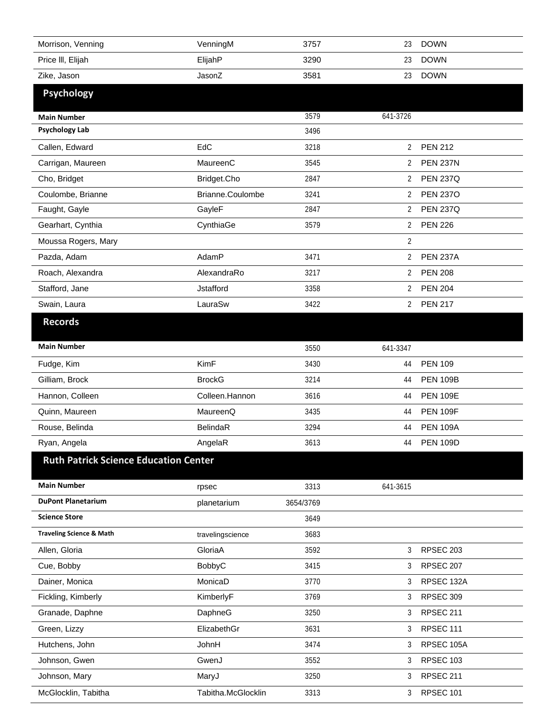| Morrison, Venning                            | VenningM                        | 3757         | 23                  | <b>DOWN</b>     |
|----------------------------------------------|---------------------------------|--------------|---------------------|-----------------|
| Price III, Elijah                            | ElijahP                         | 3290         | 23                  | <b>DOWN</b>     |
| Zike, Jason                                  | JasonZ                          | 3581         | 23                  | <b>DOWN</b>     |
| <b>Psychology</b>                            |                                 |              |                     |                 |
|                                              |                                 |              |                     |                 |
| <b>Main Number</b><br><b>Psychology Lab</b>  |                                 | 3579<br>3496 | 641-3726            |                 |
| Callen, Edward                               | EdC                             | 3218         | 2                   | <b>PEN 212</b>  |
|                                              | MaureenC                        | 3545         |                     | <b>PEN 237N</b> |
| Carrigan, Maureen                            |                                 |              | 2                   | <b>PEN 237Q</b> |
| Cho, Bridget                                 | Bridget.Cho<br>Brianne.Coulombe | 2847         | 2<br>2              | <b>PEN 2370</b> |
| Coulombe, Brianne<br>Faught, Gayle           | GayleF                          | 3241<br>2847 | 2                   | <b>PEN 237Q</b> |
| Gearhart, Cynthia                            | CynthiaGe                       | 3579         | 2                   | <b>PEN 226</b>  |
| Moussa Rogers, Mary                          |                                 |              |                     |                 |
|                                              | AdamP                           | 3471         | $\overline{c}$<br>2 | <b>PEN 237A</b> |
| Pazda, Adam                                  |                                 |              |                     |                 |
| Roach, Alexandra                             | AlexandraRo                     | 3217         | 2                   | <b>PEN 208</b>  |
| Stafford, Jane                               | <b>Jstafford</b>                | 3358         | 2                   | <b>PEN 204</b>  |
| Swain, Laura                                 | LauraSw                         | 3422         | 2                   | <b>PEN 217</b>  |
| <b>Records</b>                               |                                 |              |                     |                 |
| <b>Main Number</b>                           |                                 | 3550         | 641-3347            |                 |
| Fudge, Kim                                   | <b>KimF</b>                     | 3430         | 44                  | <b>PEN 109</b>  |
| Gilliam, Brock                               | <b>BrockG</b>                   | 3214         | 44                  | <b>PEN 109B</b> |
| Hannon, Colleen                              | Colleen.Hannon                  | 3616         | 44                  | <b>PEN 109E</b> |
| Quinn, Maureen                               | MaureenQ                        | 3435         | 44                  | <b>PEN 109F</b> |
| Rouse, Belinda                               | BelindaR                        | 3294         | 44                  | <b>PEN 109A</b> |
| Ryan, Angela                                 | AngelaR                         | 3613         | 44                  | <b>PEN 109D</b> |
| <b>Ruth Patrick Science Education Center</b> |                                 |              |                     |                 |
| <b>Main Number</b>                           | rpsec                           | 3313         | 641-3615            |                 |
| <b>DuPont Planetarium</b>                    | planetarium                     | 3654/3769    |                     |                 |
| <b>Science Store</b>                         |                                 | 3649         |                     |                 |
| <b>Traveling Science &amp; Math</b>          | travelingscience                | 3683         |                     |                 |
| Allen, Gloria                                | GloriaA                         | 3592         | 3                   | RPSEC 203       |
| Cue, Bobby                                   | <b>BobbyC</b>                   | 3415         | 3                   | RPSEC 207       |
| Dainer, Monica                               | MonicaD                         | 3770         | 3                   | RPSEC 132A      |
| Fickling, Kimberly                           | KimberlyF                       | 3769         | 3                   | RPSEC 309       |
| Granade, Daphne                              | DaphneG                         | 3250         | 3                   | RPSEC 211       |
| Green, Lizzy                                 | ElizabethGr                     | 3631         | 3                   | RPSEC 111       |
| Hutchens, John                               | JohnH                           | 3474         | 3                   | RPSEC 105A      |
| Johnson, Gwen                                | GwenJ                           | 3552         | 3                   | RPSEC 103       |
| Johnson, Mary                                | MaryJ                           | 3250         | 3                   | RPSEC 211       |
|                                              |                                 |              |                     |                 |
| McGlocklin, Tabitha                          | Tabitha.McGlocklin              | 3313         | 3                   | RPSEC 101       |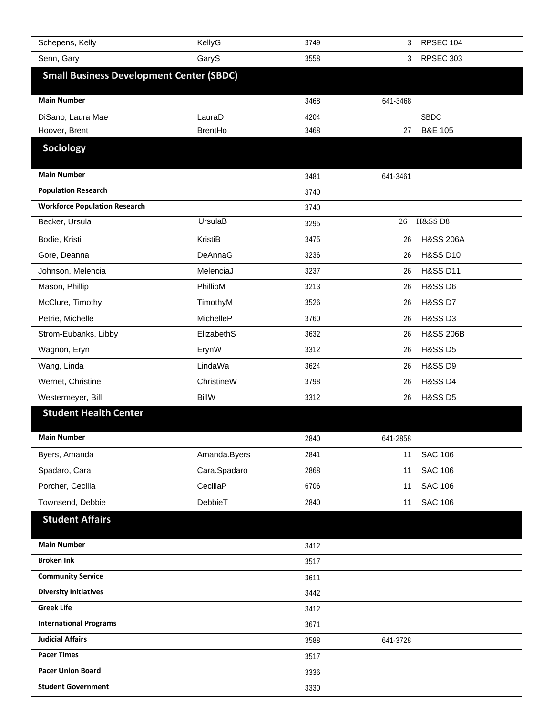| Schepens, Kelly                                 | KellyG         | 3749 | 3        | RPSEC 104            |
|-------------------------------------------------|----------------|------|----------|----------------------|
| Senn, Gary                                      | GaryS          | 3558 | 3        | RPSEC 303            |
| <b>Small Business Development Center (SBDC)</b> |                |      |          |                      |
| <b>Main Number</b>                              |                | 3468 | 641-3468 |                      |
| DiSano, Laura Mae                               | LauraD         | 4204 |          | <b>SBDC</b>          |
| Hoover, Brent                                   | <b>BrentHo</b> | 3468 | 27       | <b>B&amp;E 105</b>   |
| Sociology                                       |                |      |          |                      |
| <b>Main Number</b>                              |                | 3481 | 641-3461 |                      |
| <b>Population Research</b>                      |                | 3740 |          |                      |
| <b>Workforce Population Research</b>            |                | 3740 |          |                      |
| Becker, Ursula                                  | UrsulaB        | 3295 | 26       | H&SS D8              |
| Bodie, Kristi                                   | KristiB        | 3475 | 26       | <b>H&amp;SS 206A</b> |
| Gore, Deanna                                    | DeAnnaG        | 3236 | 26       | <b>H&amp;SS D10</b>  |
| Johnson, Melencia                               | MelenciaJ      | 3237 | 26       | <b>H&amp;SS D11</b>  |
| Mason, Phillip                                  | PhillipM       | 3213 | 26       | <b>H&amp;SS D6</b>   |
| McClure, Timothy                                | TimothyM       | 3526 | 26       | <b>H&amp;SS D7</b>   |
| Petrie, Michelle                                | MichelleP      | 3760 | 26       | <b>H&amp;SS D3</b>   |
| Strom-Eubanks, Libby                            | ElizabethS     | 3632 | 26       | <b>H&amp;SS 206B</b> |
| Wagnon, Eryn                                    | ErynW          | 3312 | 26       | <b>H&amp;SS D5</b>   |
| Wang, Linda                                     | LindaWa        | 3624 | 26       | <b>H&amp;SS D9</b>   |
| Wernet, Christine                               | ChristineW     | 3798 | 26       | <b>H&amp;SS D4</b>   |
| Westermeyer, Bill                               | <b>BillW</b>   | 3312 | 26       | <b>H&amp;SS D5</b>   |
| <b>Student Health Center</b>                    |                |      |          |                      |
| <b>Main Number</b>                              |                | 2840 | 641-2858 |                      |
| Byers, Amanda                                   | Amanda.Byers   | 2841 | 11       | <b>SAC 106</b>       |
| Spadaro, Cara                                   | Cara.Spadaro   | 2868 | 11       | <b>SAC 106</b>       |
| Porcher, Cecilia                                | CeciliaP       | 6706 | 11       | <b>SAC 106</b>       |
| Townsend, Debbie                                | DebbieT        | 2840 | 11       | <b>SAC 106</b>       |
| <b>Student Affairs</b>                          |                |      |          |                      |
| <b>Main Number</b>                              |                | 3412 |          |                      |
| <b>Broken Ink</b>                               |                | 3517 |          |                      |
| <b>Community Service</b>                        |                | 3611 |          |                      |
| <b>Diversity Initiatives</b>                    |                | 3442 |          |                      |
| <b>Greek Life</b>                               |                | 3412 |          |                      |
| <b>International Programs</b>                   |                | 3671 |          |                      |
| <b>Judicial Affairs</b>                         |                | 3588 | 641-3728 |                      |
| <b>Pacer Times</b>                              |                | 3517 |          |                      |
| <b>Pacer Union Board</b>                        |                | 3336 |          |                      |
| <b>Student Government</b>                       |                | 3330 |          |                      |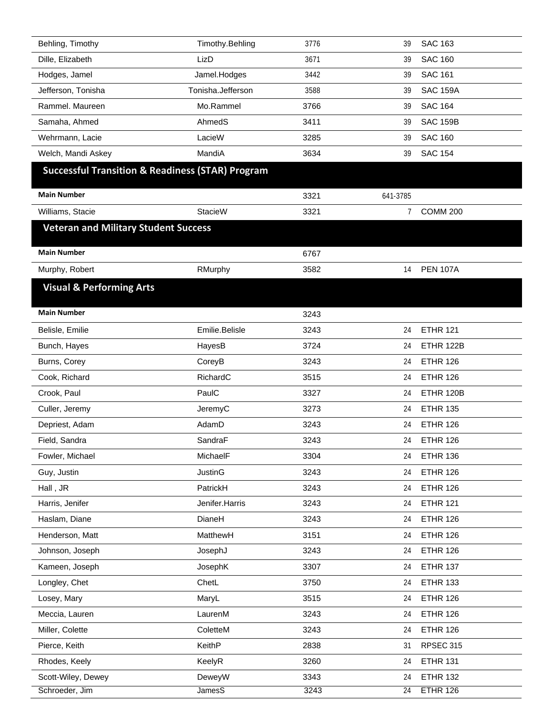| Behling, Timothy                            | Timothy.Behling                                             | 3776 | 39             | <b>SAC 163</b>  |
|---------------------------------------------|-------------------------------------------------------------|------|----------------|-----------------|
| Dille, Elizabeth                            | LizD                                                        | 3671 | 39             | <b>SAC 160</b>  |
| Hodges, Jamel                               | Jamel.Hodges                                                | 3442 | 39             | <b>SAC 161</b>  |
| Jefferson, Tonisha                          | Tonisha.Jefferson                                           | 3588 | 39             | <b>SAC 159A</b> |
| Rammel. Maureen                             | Mo.Rammel                                                   | 3766 | 39             | <b>SAC 164</b>  |
| Samaha, Ahmed                               | AhmedS                                                      | 3411 | 39             | <b>SAC 159B</b> |
| Wehrmann, Lacie                             | LacieW                                                      | 3285 | 39             | <b>SAC 160</b>  |
| Welch, Mandi Askey                          | MandiA                                                      | 3634 | 39             | <b>SAC 154</b>  |
|                                             | <b>Successful Transition &amp; Readiness (STAR) Program</b> |      |                |                 |
| <b>Main Number</b>                          |                                                             | 3321 | 641-3785       |                 |
| Williams, Stacie                            | <b>StacieW</b>                                              | 3321 | $\overline{7}$ | <b>COMM 200</b> |
| <b>Veteran and Military Student Success</b> |                                                             |      |                |                 |
| <b>Main Number</b>                          |                                                             | 6767 |                |                 |
| Murphy, Robert                              | RMurphy                                                     | 3582 | 14             | <b>PEN 107A</b> |
| <b>Visual &amp; Performing Arts</b>         |                                                             |      |                |                 |
| <b>Main Number</b>                          |                                                             | 3243 |                |                 |
| Belisle, Emilie                             | Emilie.Belisle                                              | 3243 | 24             | <b>ETHR 121</b> |
| Bunch, Hayes                                | HayesB                                                      | 3724 | 24             | ETHR 122B       |
| Burns, Corey                                | CoreyB                                                      | 3243 | 24             | <b>ETHR 126</b> |
| Cook, Richard                               | RichardC                                                    | 3515 | 24             | <b>ETHR 126</b> |
| Crook, Paul                                 | PaulC                                                       | 3327 | 24             | ETHR 120B       |
| Culler, Jeremy                              | JeremyC                                                     | 3273 | 24             | <b>ETHR 135</b> |
| Depriest, Adam                              | AdamD                                                       | 3243 | 24             | <b>ETHR 126</b> |
| Field, Sandra                               | SandraF                                                     | 3243 | 24             | <b>ETHR 126</b> |
| Fowler, Michael                             | MichaelF                                                    | 3304 | 24             | <b>ETHR 136</b> |
| Guy, Justin                                 | <b>JustinG</b>                                              | 3243 | 24             | <b>ETHR 126</b> |
| Hall, JR                                    | PatrickH                                                    | 3243 | 24             | <b>ETHR 126</b> |
| Harris, Jenifer                             | Jenifer.Harris                                              | 3243 | 24             | <b>ETHR 121</b> |
| Haslam, Diane                               | DianeH                                                      | 3243 | 24             | <b>ETHR 126</b> |
| Henderson, Matt                             | MatthewH                                                    | 3151 | 24             | <b>ETHR 126</b> |
| Johnson, Joseph                             | JosephJ                                                     | 3243 | 24             | <b>ETHR 126</b> |
| Kameen, Joseph                              | JosephK                                                     | 3307 | 24             | <b>ETHR 137</b> |
| Longley, Chet                               | ChetL                                                       | 3750 | 24             | <b>ETHR 133</b> |
| Losey, Mary                                 | MaryL                                                       | 3515 | 24             | <b>ETHR 126</b> |
| Meccia, Lauren                              | LaurenM                                                     | 3243 | 24             | <b>ETHR 126</b> |
| Miller, Colette                             | ColetteM                                                    | 3243 | 24             | <b>ETHR 126</b> |
| Pierce, Keith                               | KeithP                                                      | 2838 | 31             | RPSEC 315       |
| Rhodes, Keely                               | KeelyR                                                      | 3260 | 24             | <b>ETHR 131</b> |
| Scott-Wiley, Dewey                          | DeweyW                                                      | 3343 | 24             | <b>ETHR 132</b> |
| Schroeder, Jim                              | <b>JamesS</b>                                               | 3243 | 24             | <b>ETHR 126</b> |